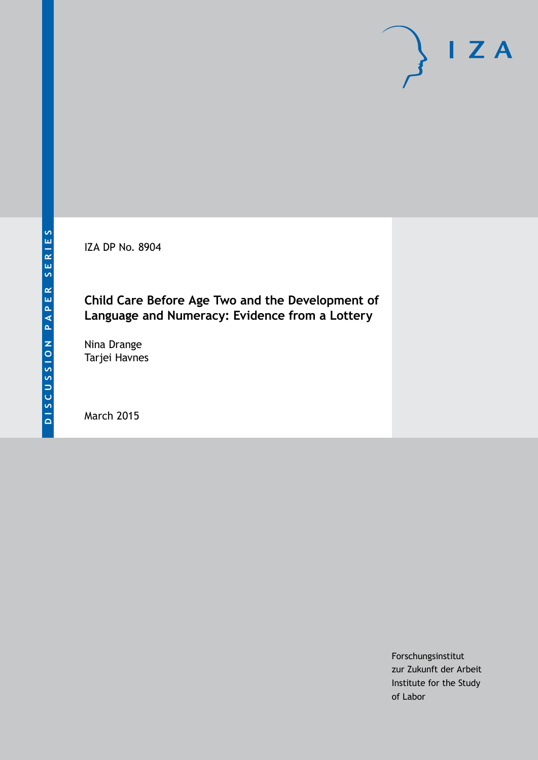IZA DP No. 8904

# **Child Care Before Age Two and the Development of Language and Numeracy: Evidence from a Lottery**

Nina Drange Tarjei Havnes

March 2015

Forschungsinstitut zur Zukunft der Arbeit Institute for the Study of Labor

 $I Z A$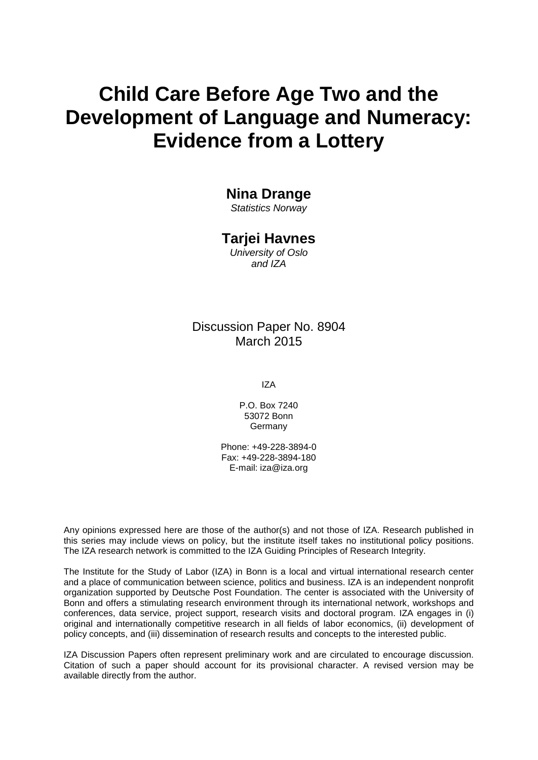# **Child Care Before Age Two and the Development of Language and Numeracy: Evidence from a Lottery**

### **Nina Drange**

*Statistics Norway*

#### **Tarjei Havnes**

*University of Oslo and IZA*

### Discussion Paper No. 8904 March 2015

IZA

P.O. Box 7240 53072 Bonn **Germany** 

Phone: +49-228-3894-0 Fax: +49-228-3894-180 E-mail: iza@iza.org

Any opinions expressed here are those of the author(s) and not those of IZA. Research published in this series may include views on policy, but the institute itself takes no institutional policy positions. The IZA research network is committed to the IZA Guiding Principles of Research Integrity.

The Institute for the Study of Labor (IZA) in Bonn is a local and virtual international research center and a place of communication between science, politics and business. IZA is an independent nonprofit organization supported by Deutsche Post Foundation. The center is associated with the University of Bonn and offers a stimulating research environment through its international network, workshops and conferences, data service, project support, research visits and doctoral program. IZA engages in (i) original and internationally competitive research in all fields of labor economics, (ii) development of policy concepts, and (iii) dissemination of research results and concepts to the interested public.

<span id="page-1-0"></span>IZA Discussion Papers often represent preliminary work and are circulated to encourage discussion. Citation of such a paper should account for its provisional character. A revised version may be available directly from the author.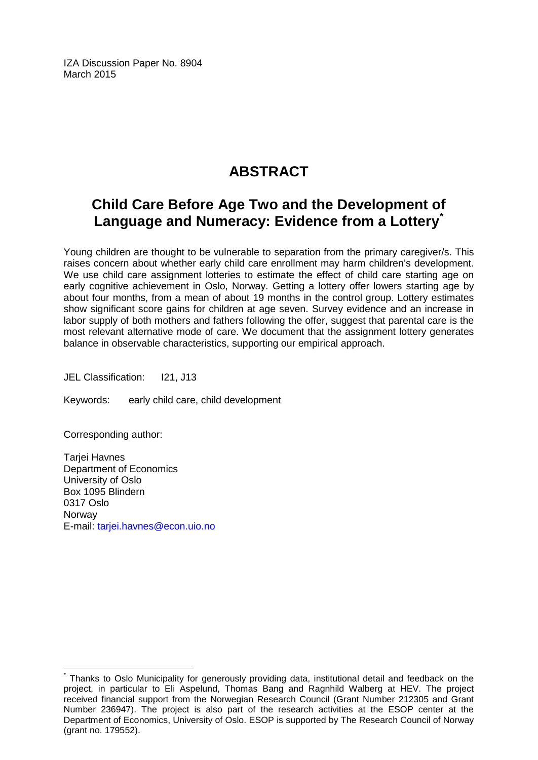IZA Discussion Paper No. 8904 March 2015

# **ABSTRACT**

# **Child Care Before Age Two and the Development of Language and Numeracy: Evidence from a Lottery[\\*](#page-1-0)**

Young children are thought to be vulnerable to separation from the primary caregiver/s. This raises concern about whether early child care enrollment may harm children's development. We use child care assignment lotteries to estimate the effect of child care starting age on early cognitive achievement in Oslo, Norway. Getting a lottery offer lowers starting age by about four months, from a mean of about 19 months in the control group. Lottery estimates show significant score gains for children at age seven. Survey evidence and an increase in labor supply of both mothers and fathers following the offer, suggest that parental care is the most relevant alternative mode of care. We document that the assignment lottery generates balance in observable characteristics, supporting our empirical approach.

JEL Classification: I21, J13

Keywords: early child care, child development

Corresponding author:

Tarjei Havnes Department of Economics University of Oslo Box 1095 Blindern 0317 Oslo **Norway** E-mail: [tarjei.havnes@econ.uio.no](mailto:tarjei.havnes@econ.uio.no)

Thanks to Oslo Municipality for generously providing data, institutional detail and feedback on the project, in particular to Eli Aspelund, Thomas Bang and Ragnhild Walberg at HEV. The project received financial support from the Norwegian Research Council (Grant Number 212305 and Grant Number 236947). The project is also part of the research activities at the ESOP center at the Department of Economics, University of Oslo. ESOP is supported by The Research Council of Norway (grant no. 179552).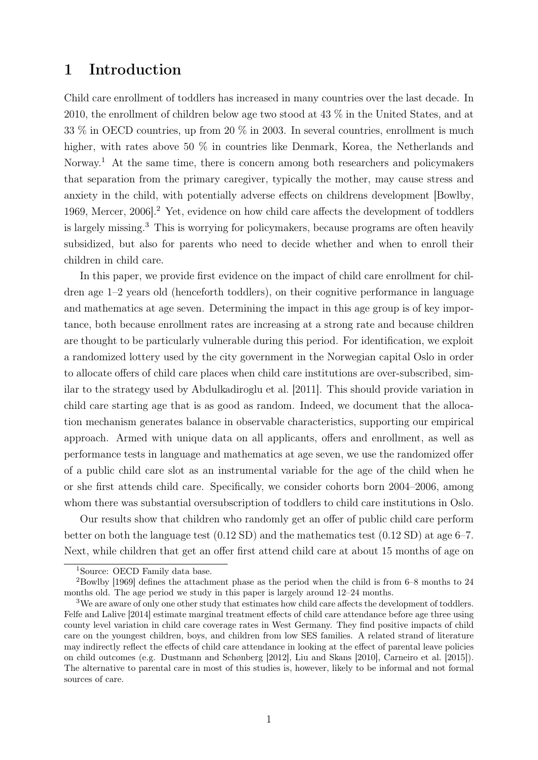# 1 Introduction

Child care enrollment of toddlers has increased in many countries over the last decade. In 2010, the enrollment of children below age two stood at 43 % in the United States, and at 33 % in OECD countries, up from 20 % in 2003. In several countries, enrollment is much higher, with rates above 50  $\%$  in countries like Denmark, Korea, the Netherlands and Norway.<sup>1</sup> At the same time, there is concern among both researchers and policymakers that separation from the primary caregiver, typically the mother, may cause stress and anxiety in the child, with potentially adverse effects on childrens development [Bowlby, 1969, Mercer, 2006].<sup>2</sup> Yet, evidence on how child care affects the development of toddlers is largely missing.<sup>3</sup> This is worrying for policymakers, because programs are often heavily subsidized, but also for parents who need to decide whether and when to enroll their children in child care.

In this paper, we provide first evidence on the impact of child care enrollment for children age 1–2 years old (henceforth toddlers), on their cognitive performance in language and mathematics at age seven. Determining the impact in this age group is of key importance, both because enrollment rates are increasing at a strong rate and because children are thought to be particularly vulnerable during this period. For identification, we exploit a randomized lottery used by the city government in the Norwegian capital Oslo in order to allocate offers of child care places when child care institutions are over-subscribed, similar to the strategy used by Abdulkadiroglu et al. [2011]. This should provide variation in child care starting age that is as good as random. Indeed, we document that the allocation mechanism generates balance in observable characteristics, supporting our empirical approach. Armed with unique data on all applicants, offers and enrollment, as well as performance tests in language and mathematics at age seven, we use the randomized offer of a public child care slot as an instrumental variable for the age of the child when he or she first attends child care. Specifically, we consider cohorts born 2004–2006, among whom there was substantial oversubscription of toddlers to child care institutions in Oslo.

Our results show that children who randomly get an offer of public child care perform better on both the language test  $(0.12 \text{ SD})$  and the mathematics test  $(0.12 \text{ SD})$  at age 6–7. Next, while children that get an offer first attend child care at about 15 months of age on

<sup>1</sup>Source: OECD Family data base.

<sup>2</sup>Bowlby [1969] defines the attachment phase as the period when the child is from 6–8 months to 24 months old. The age period we study in this paper is largely around 12–24 months.

<sup>&</sup>lt;sup>3</sup>We are aware of only one other study that estimates how child care affects the development of toddlers. Felfe and Lalive [2014] estimate marginal treatment effects of child care attendance before age three using county level variation in child care coverage rates in West Germany. They find positive impacts of child care on the youngest children, boys, and children from low SES families. A related strand of literature may indirectly reflect the effects of child care attendance in looking at the effect of parental leave policies on child outcomes (e.g. Dustmann and Schønberg [2012], Liu and Skans [2010], Carneiro et al. [2015]). The alternative to parental care in most of this studies is, however, likely to be informal and not formal sources of care.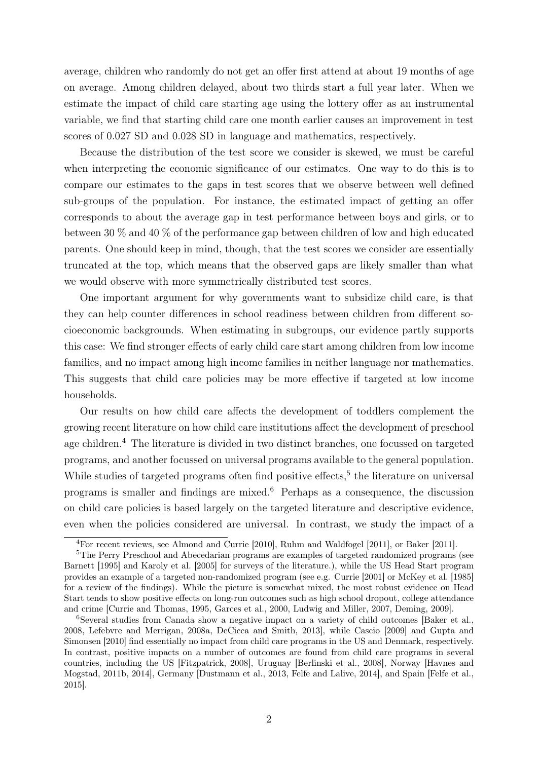average, children who randomly do not get an offer first attend at about 19 months of age on average. Among children delayed, about two thirds start a full year later. When we estimate the impact of child care starting age using the lottery offer as an instrumental variable, we find that starting child care one month earlier causes an improvement in test scores of 0.027 SD and 0.028 SD in language and mathematics, respectively.

Because the distribution of the test score we consider is skewed, we must be careful when interpreting the economic significance of our estimates. One way to do this is to compare our estimates to the gaps in test scores that we observe between well defined sub-groups of the population. For instance, the estimated impact of getting an offer corresponds to about the average gap in test performance between boys and girls, or to between 30 % and 40 % of the performance gap between children of low and high educated parents. One should keep in mind, though, that the test scores we consider are essentially truncated at the top, which means that the observed gaps are likely smaller than what we would observe with more symmetrically distributed test scores.

One important argument for why governments want to subsidize child care, is that they can help counter differences in school readiness between children from different socioeconomic backgrounds. When estimating in subgroups, our evidence partly supports this case: We find stronger effects of early child care start among children from low income families, and no impact among high income families in neither language nor mathematics. This suggests that child care policies may be more effective if targeted at low income households.

Our results on how child care affects the development of toddlers complement the growing recent literature on how child care institutions affect the development of preschool age children.<sup>4</sup> The literature is divided in two distinct branches, one focussed on targeted programs, and another focussed on universal programs available to the general population. While studies of targeted programs often find positive effects,<sup>5</sup> the literature on universal programs is smaller and findings are mixed.<sup>6</sup> Perhaps as a consequence, the discussion on child care policies is based largely on the targeted literature and descriptive evidence, even when the policies considered are universal. In contrast, we study the impact of a

<sup>4</sup>For recent reviews, see Almond and Currie [2010], Ruhm and Waldfogel [2011], or Baker [2011].

<sup>&</sup>lt;sup>5</sup>The Perry Preschool and Abecedarian programs are examples of targeted randomized programs (see Barnett [1995] and Karoly et al. [2005] for surveys of the literature.), while the US Head Start program provides an example of a targeted non-randomized program (see e.g. Currie [2001] or McKey et al. [1985] for a review of the findings). While the picture is somewhat mixed, the most robust evidence on Head Start tends to show positive effects on long-run outcomes such as high school dropout, college attendance and crime [Currie and Thomas, 1995, Garces et al., 2000, Ludwig and Miller, 2007, Deming, 2009].

<sup>6</sup>Several studies from Canada show a negative impact on a variety of child outcomes [Baker et al., 2008, Lefebvre and Merrigan, 2008a, DeCicca and Smith, 2013], while Cascio [2009] and Gupta and Simonsen [2010] find essentially no impact from child care programs in the US and Denmark, respectively. In contrast, positive impacts on a number of outcomes are found from child care programs in several countries, including the US [Fitzpatrick, 2008], Uruguay [Berlinski et al., 2008], Norway [Havnes and Mogstad, 2011b, 2014], Germany [Dustmann et al., 2013, Felfe and Lalive, 2014], and Spain [Felfe et al., 2015].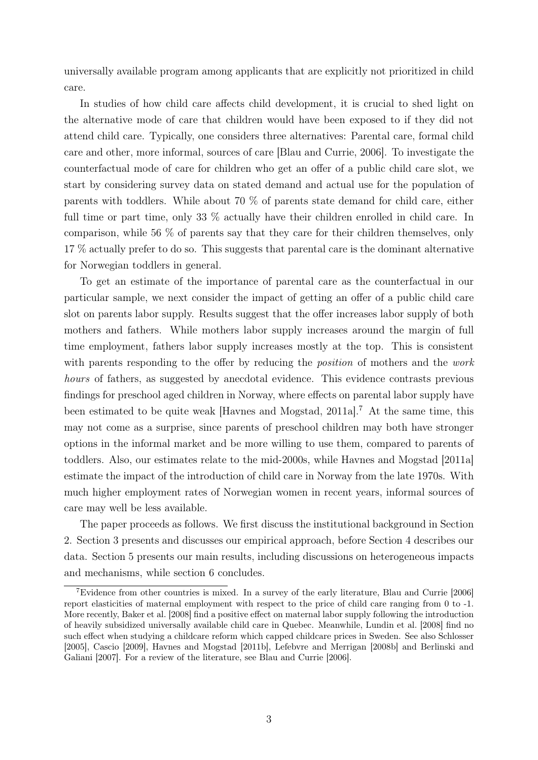universally available program among applicants that are explicitly not prioritized in child care.

In studies of how child care affects child development, it is crucial to shed light on the alternative mode of care that children would have been exposed to if they did not attend child care. Typically, one considers three alternatives: Parental care, formal child care and other, more informal, sources of care [Blau and Currie, 2006]. To investigate the counterfactual mode of care for children who get an offer of a public child care slot, we start by considering survey data on stated demand and actual use for the population of parents with toddlers. While about 70 % of parents state demand for child care, either full time or part time, only 33 % actually have their children enrolled in child care. In comparison, while 56 % of parents say that they care for their children themselves, only 17 % actually prefer to do so. This suggests that parental care is the dominant alternative for Norwegian toddlers in general.

To get an estimate of the importance of parental care as the counterfactual in our particular sample, we next consider the impact of getting an offer of a public child care slot on parents labor supply. Results suggest that the offer increases labor supply of both mothers and fathers. While mothers labor supply increases around the margin of full time employment, fathers labor supply increases mostly at the top. This is consistent with parents responding to the offer by reducing the *position* of mothers and the work hours of fathers, as suggested by anecdotal evidence. This evidence contrasts previous findings for preschool aged children in Norway, where effects on parental labor supply have been estimated to be quite weak [Havnes and Mogstad, 2011a].<sup>7</sup> At the same time, this may not come as a surprise, since parents of preschool children may both have stronger options in the informal market and be more willing to use them, compared to parents of toddlers. Also, our estimates relate to the mid-2000s, while Havnes and Mogstad [2011a] estimate the impact of the introduction of child care in Norway from the late 1970s. With much higher employment rates of Norwegian women in recent years, informal sources of care may well be less available.

The paper proceeds as follows. We first discuss the institutional background in Section 2. Section 3 presents and discusses our empirical approach, before Section 4 describes our data. Section 5 presents our main results, including discussions on heterogeneous impacts and mechanisms, while section 6 concludes.

<sup>&</sup>lt;sup>7</sup>Evidence from other countries is mixed. In a survey of the early literature, Blau and Currie [2006] report elasticities of maternal employment with respect to the price of child care ranging from 0 to -1. More recently, Baker et al. [2008] find a positive effect on maternal labor supply following the introduction of heavily subsidized universally available child care in Quebec. Meanwhile, Lundin et al. [2008] find no such effect when studying a childcare reform which capped childcare prices in Sweden. See also Schlosser [2005], Cascio [2009], Havnes and Mogstad [2011b], Lefebvre and Merrigan [2008b] and Berlinski and Galiani [2007]. For a review of the literature, see Blau and Currie [2006].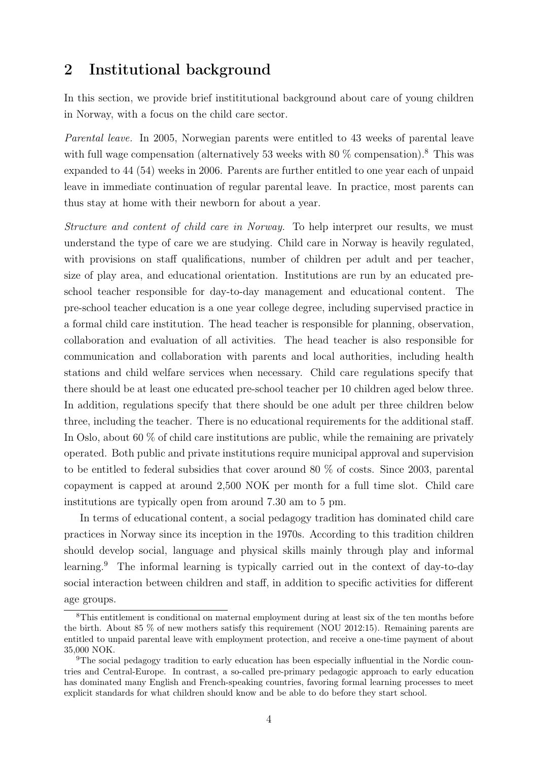### 2 Institutional background

In this section, we provide brief instititutional background about care of young children in Norway, with a focus on the child care sector.

Parental leave. In 2005, Norwegian parents were entitled to 43 weeks of parental leave with full wage compensation (alternatively 53 weeks with 80  $\%$  compensation).<sup>8</sup> This was expanded to 44 (54) weeks in 2006. Parents are further entitled to one year each of unpaid leave in immediate continuation of regular parental leave. In practice, most parents can thus stay at home with their newborn for about a year.

Structure and content of child care in Norway. To help interpret our results, we must understand the type of care we are studying. Child care in Norway is heavily regulated, with provisions on staff qualifications, number of children per adult and per teacher, size of play area, and educational orientation. Institutions are run by an educated preschool teacher responsible for day-to-day management and educational content. The pre-school teacher education is a one year college degree, including supervised practice in a formal child care institution. The head teacher is responsible for planning, observation, collaboration and evaluation of all activities. The head teacher is also responsible for communication and collaboration with parents and local authorities, including health stations and child welfare services when necessary. Child care regulations specify that there should be at least one educated pre-school teacher per 10 children aged below three. In addition, regulations specify that there should be one adult per three children below three, including the teacher. There is no educational requirements for the additional staff. In Oslo, about 60 % of child care institutions are public, while the remaining are privately operated. Both public and private institutions require municipal approval and supervision to be entitled to federal subsidies that cover around 80 % of costs. Since 2003, parental copayment is capped at around 2,500 NOK per month for a full time slot. Child care institutions are typically open from around 7.30 am to 5 pm.

In terms of educational content, a social pedagogy tradition has dominated child care practices in Norway since its inception in the 1970s. According to this tradition children should develop social, language and physical skills mainly through play and informal learning.<sup>9</sup> The informal learning is typically carried out in the context of day-to-day social interaction between children and staff, in addition to specific activities for different age groups.

<sup>8</sup>This entitlement is conditional on maternal employment during at least six of the ten months before the birth. About 85 % of new mothers satisfy this requirement (NOU 2012:15). Remaining parents are entitled to unpaid parental leave with employment protection, and receive a one-time payment of about 35,000 NOK.

<sup>9</sup>The social pedagogy tradition to early education has been especially influential in the Nordic countries and Central-Europe. In contrast, a so-called pre-primary pedagogic approach to early education has dominated many English and French-speaking countries, favoring formal learning processes to meet explicit standards for what children should know and be able to do before they start school.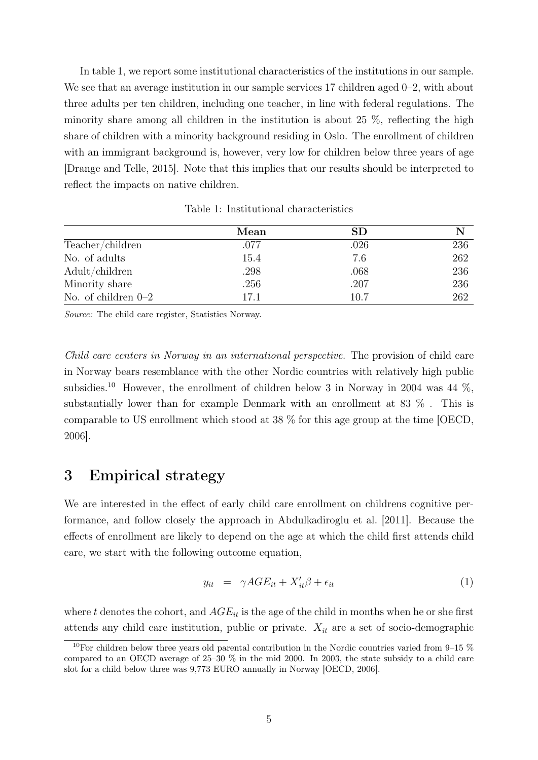In table 1, we report some institutional characteristics of the institutions in our sample. We see that an average institution in our sample services 17 children aged 0–2, with about three adults per ten children, including one teacher, in line with federal regulations. The minority share among all children in the institution is about 25 %, reflecting the high share of children with a minority background residing in Oslo. The enrollment of children with an immigrant background is, however, very low for children below three years of age [Drange and Telle, 2015]. Note that this implies that our results should be interpreted to reflect the impacts on native children.

|                       | Mean | SD.  |     |
|-----------------------|------|------|-----|
| Teacher/children      | .077 | .026 | 236 |
| No. of adults         | 15.4 | 7.6  | 262 |
| Adult/children        | .298 | .068 | 236 |
| Minority share        | .256 | .207 | 236 |
| No. of children $0-2$ | 17.1 | 10.7 | 262 |

Table 1: Institutional characteristics

Source: The child care register, Statistics Norway.

Child care centers in Norway in an international perspective. The provision of child care in Norway bears resemblance with the other Nordic countries with relatively high public subsidies.<sup>10</sup> However, the enrollment of children below 3 in Norway in 2004 was 44  $\%$ , substantially lower than for example Denmark with an enrollment at 83 % . This is comparable to US enrollment which stood at 38 % for this age group at the time [OECD, 2006].

### 3 Empirical strategy

We are interested in the effect of early child care enrollment on childrens cognitive performance, and follow closely the approach in Abdulkadiroglu et al. [2011]. Because the effects of enrollment are likely to depend on the age at which the child first attends child care, we start with the following outcome equation,

$$
y_{it} = \gamma AGE_{it} + X_{it}'\beta + \epsilon_{it} \tag{1}
$$

where t denotes the cohort, and  $AGE_{it}$  is the age of the child in months when he or she first attends any child care institution, public or private.  $X_{it}$  are a set of socio-demographic

<sup>&</sup>lt;sup>10</sup>For children below three years old parental contribution in the Nordic countries varied from 9–15  $\%$ compared to an OECD average of 25–30 % in the mid 2000. In 2003, the state subsidy to a child care slot for a child below three was 9,773 EURO annually in Norway [OECD, 2006].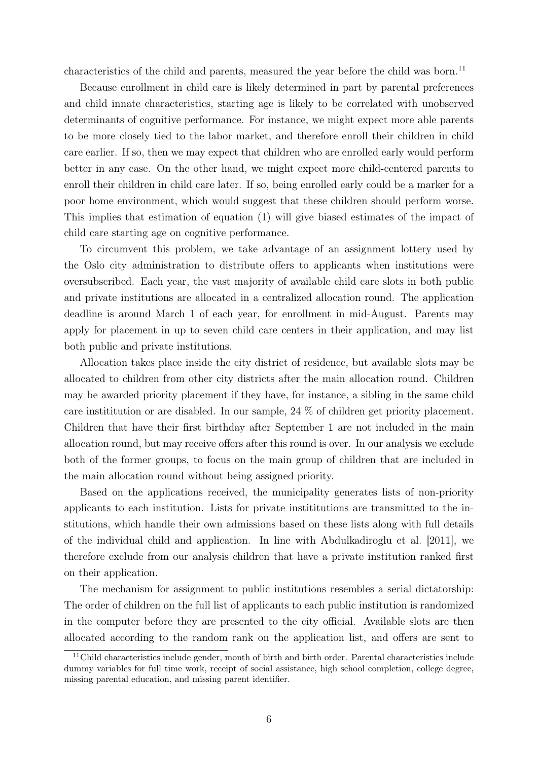characteristics of the child and parents, measured the year before the child was born.<sup>11</sup>

Because enrollment in child care is likely determined in part by parental preferences and child innate characteristics, starting age is likely to be correlated with unobserved determinants of cognitive performance. For instance, we might expect more able parents to be more closely tied to the labor market, and therefore enroll their children in child care earlier. If so, then we may expect that children who are enrolled early would perform better in any case. On the other hand, we might expect more child-centered parents to enroll their children in child care later. If so, being enrolled early could be a marker for a poor home environment, which would suggest that these children should perform worse. This implies that estimation of equation (1) will give biased estimates of the impact of child care starting age on cognitive performance.

To circumvent this problem, we take advantage of an assignment lottery used by the Oslo city administration to distribute offers to applicants when institutions were oversubscribed. Each year, the vast majority of available child care slots in both public and private institutions are allocated in a centralized allocation round. The application deadline is around March 1 of each year, for enrollment in mid-August. Parents may apply for placement in up to seven child care centers in their application, and may list both public and private institutions.

Allocation takes place inside the city district of residence, but available slots may be allocated to children from other city districts after the main allocation round. Children may be awarded priority placement if they have, for instance, a sibling in the same child care instititution or are disabled. In our sample, 24 % of children get priority placement. Children that have their first birthday after September 1 are not included in the main allocation round, but may receive offers after this round is over. In our analysis we exclude both of the former groups, to focus on the main group of children that are included in the main allocation round without being assigned priority.

Based on the applications received, the municipality generates lists of non-priority applicants to each institution. Lists for private instititutions are transmitted to the institutions, which handle their own admissions based on these lists along with full details of the individual child and application. In line with Abdulkadiroglu et al. [2011], we therefore exclude from our analysis children that have a private institution ranked first on their application.

The mechanism for assignment to public institutions resembles a serial dictatorship: The order of children on the full list of applicants to each public institution is randomized in the computer before they are presented to the city official. Available slots are then allocated according to the random rank on the application list, and offers are sent to

 $11$ Child characteristics include gender, month of birth and birth order. Parental characteristics include dummy variables for full time work, receipt of social assistance, high school completion, college degree, missing parental education, and missing parent identifier.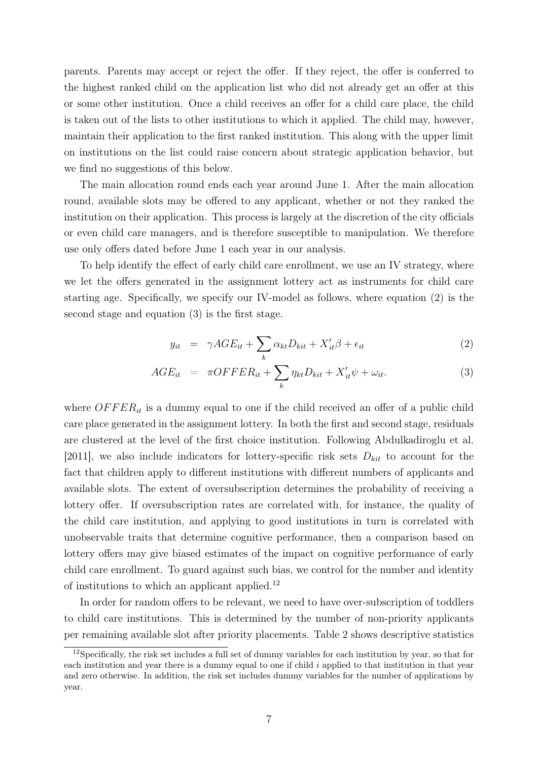parents. Parents may accept or reject the offer. If they reject, the offer is conferred to the highest ranked child on the application list who did not already get an offer at this or some other institution. Once a child receives an offer for a child care place, the child is taken out of the lists to other institutions to which it applied. The child may, however, maintain their application to the first ranked institution. This along with the upper limit on institutions on the list could raise concern about strategic application behavior, but we find no suggestions of this below.

The main allocation round ends each year around June 1. After the main allocation round, available slots may be offered to any applicant, whether or not they ranked the institution on their application. This process is largely at the discretion of the city officials or even child care managers, and is therefore susceptible to manipulation. We therefore use only offers dated before June 1 each year in our analysis.

To help identify the effect of early child care enrollment, we use an IV strategy, where we let the offers generated in the assignment lottery act as instruments for child care starting age. Specifically, we specify our IV-model as follows, where equation (2) is the second stage and equation (3) is the first stage.

$$
y_{it} = \gamma AGE_{it} + \sum_{k} \alpha_{kt} D_{kit} + X'_{it} \beta + \epsilon_{it}
$$
\n(2)

$$
AGE_{it} = \tau OFFER_{it} + \sum_{k} \eta_{kt}D_{kit} + X'_{it}\psi + \omega_{it}.
$$
 (3)

where  $OFFER_{it}$  is a dummy equal to one if the child received an offer of a public child care place generated in the assignment lottery. In both the first and second stage, residuals are clustered at the level of the first choice institution. Following Abdulkadiroglu et al. [2011], we also include indicators for lottery-specific risk sets  $D_{kit}$  to account for the fact that children apply to different institutions with different numbers of applicants and available slots. The extent of oversubscription determines the probability of receiving a lottery offer. If oversubscription rates are correlated with, for instance, the quality of the child care institution, and applying to good institutions in turn is correlated with unobservable traits that determine cognitive performance, then a comparison based on lottery offers may give biased estimates of the impact on cognitive performance of early child care enrollment. To guard against such bias, we control for the number and identity of institutions to which an applicant applied.<sup>12</sup>

In order for random offers to be relevant, we need to have over-subscription of toddlers to child care institutions. This is determined by the number of non-priority applicants per remaining available slot after priority placements. Table 2 shows descriptive statistics

<sup>&</sup>lt;sup>12</sup>Specifically, the risk set includes a full set of dummy variables for each institution by year, so that for each institution and year there is a dummy equal to one if child  $i$  applied to that institution in that year and zero otherwise. In addition, the risk set includes dummy variables for the number of applications by year.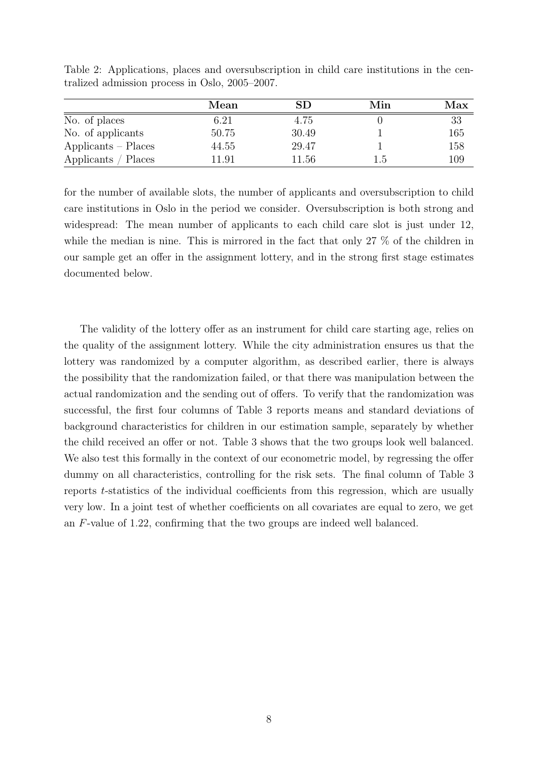|                       | Mean  | SD    | Min | Max |
|-----------------------|-------|-------|-----|-----|
| No. of places         | 6.21  | 4.75  |     | 33  |
| No. of applicants     | 50.75 | 30.49 |     | 165 |
| $Applicants - Places$ | 44.55 | 29.47 |     | 158 |
| Applicants / Places   | 11.91 | 11.56 | 1.5 | 109 |

Table 2: Applications, places and oversubscription in child care institutions in the centralized admission process in Oslo, 2005–2007.

for the number of available slots, the number of applicants and oversubscription to child care institutions in Oslo in the period we consider. Oversubscription is both strong and widespread: The mean number of applicants to each child care slot is just under 12, while the median is nine. This is mirrored in the fact that only 27 % of the children in our sample get an offer in the assignment lottery, and in the strong first stage estimates documented below.

The validity of the lottery offer as an instrument for child care starting age, relies on the quality of the assignment lottery. While the city administration ensures us that the lottery was randomized by a computer algorithm, as described earlier, there is always the possibility that the randomization failed, or that there was manipulation between the actual randomization and the sending out of offers. To verify that the randomization was successful, the first four columns of Table 3 reports means and standard deviations of background characteristics for children in our estimation sample, separately by whether the child received an offer or not. Table 3 shows that the two groups look well balanced. We also test this formally in the context of our econometric model, by regressing the offer dummy on all characteristics, controlling for the risk sets. The final column of Table 3 reports t-statistics of the individual coefficients from this regression, which are usually very low. In a joint test of whether coefficients on all covariates are equal to zero, we get an F-value of 1.22, confirming that the two groups are indeed well balanced.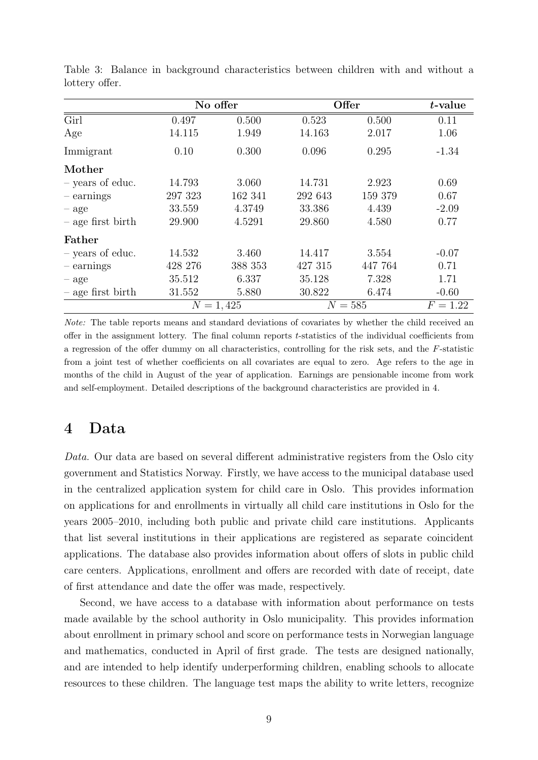|                     |         | No offer    |         | Offer     | $t$ -value |
|---------------------|---------|-------------|---------|-----------|------------|
| Girl                | 0.497   | 0.500       | 0.523   | 0.500     | 0.11       |
| Age                 | 14.115  | 1.949       | 14.163  | 2.017     | 1.06       |
| Immigrant           | 0.10    | 0.300       | 0.096   | 0.295     | $-1.34$    |
| Mother              |         |             |         |           |            |
| - years of educ.    | 14.793  | 3.060       | 14.731  | 2.923     | 0.69       |
| $-$ earnings        | 297 323 | 162 341     | 292 643 | 159 379   | 0.67       |
| $-$ age             | 33.559  | 4.3749      | 33.386  | 4.439     | $-2.09$    |
| $-$ age first birth | 29.900  | 4.5291      | 29.860  | 4.580     | 0.77       |
| Father              |         |             |         |           |            |
| - years of educ.    | 14.532  | 3.460       | 14.417  | 3.554     | $-0.07$    |
| $-$ earnings        | 428 276 | 388 353     | 427 315 | 447 764   | 0.71       |
| $-$ age             | 35.512  | 6.337       | 35.128  | 7.328     | 1.71       |
| $-$ age first birth | 31.552  | 5.880       | 30.822  | 6.474     | $-0.60$    |
|                     |         | $N = 1,425$ |         | $N = 585$ | $F = 1.22$ |

Table 3: Balance in background characteristics between children with and without a lottery offer.

Note: The table reports means and standard deviations of covariates by whether the child received an offer in the assignment lottery. The final column reports t-statistics of the individual coefficients from a regression of the offer dummy on all characteristics, controlling for the risk sets, and the F-statistic from a joint test of whether coefficients on all covariates are equal to zero. Age refers to the age in months of the child in August of the year of application. Earnings are pensionable income from work and self-employment. Detailed descriptions of the background characteristics are provided in 4.

### 4 Data

Data. Our data are based on several different administrative registers from the Oslo city government and Statistics Norway. Firstly, we have access to the municipal database used in the centralized application system for child care in Oslo. This provides information on applications for and enrollments in virtually all child care institutions in Oslo for the years 2005–2010, including both public and private child care institutions. Applicants that list several institutions in their applications are registered as separate coincident applications. The database also provides information about offers of slots in public child care centers. Applications, enrollment and offers are recorded with date of receipt, date of first attendance and date the offer was made, respectively.

Second, we have access to a database with information about performance on tests made available by the school authority in Oslo municipality. This provides information about enrollment in primary school and score on performance tests in Norwegian language and mathematics, conducted in April of first grade. The tests are designed nationally, and are intended to help identify underperforming children, enabling schools to allocate resources to these children. The language test maps the ability to write letters, recognize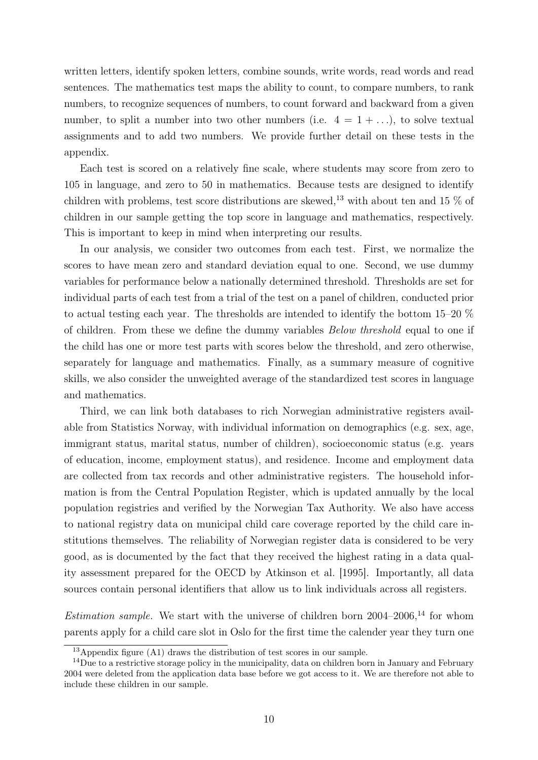written letters, identify spoken letters, combine sounds, write words, read words and read sentences. The mathematics test maps the ability to count, to compare numbers, to rank numbers, to recognize sequences of numbers, to count forward and backward from a given number, to split a number into two other numbers (i.e.  $4 = 1 + ...$ ), to solve textual assignments and to add two numbers. We provide further detail on these tests in the appendix.

Each test is scored on a relatively fine scale, where students may score from zero to 105 in language, and zero to 50 in mathematics. Because tests are designed to identify children with problems, test score distributions are skewed,<sup>13</sup> with about ten and 15  $\%$  of children in our sample getting the top score in language and mathematics, respectively. This is important to keep in mind when interpreting our results.

In our analysis, we consider two outcomes from each test. First, we normalize the scores to have mean zero and standard deviation equal to one. Second, we use dummy variables for performance below a nationally determined threshold. Thresholds are set for individual parts of each test from a trial of the test on a panel of children, conducted prior to actual testing each year. The thresholds are intended to identify the bottom 15–20 % of children. From these we define the dummy variables Below threshold equal to one if the child has one or more test parts with scores below the threshold, and zero otherwise, separately for language and mathematics. Finally, as a summary measure of cognitive skills, we also consider the unweighted average of the standardized test scores in language and mathematics.

Third, we can link both databases to rich Norwegian administrative registers available from Statistics Norway, with individual information on demographics (e.g. sex, age, immigrant status, marital status, number of children), socioeconomic status (e.g. years of education, income, employment status), and residence. Income and employment data are collected from tax records and other administrative registers. The household information is from the Central Population Register, which is updated annually by the local population registries and verified by the Norwegian Tax Authority. We also have access to national registry data on municipal child care coverage reported by the child care institutions themselves. The reliability of Norwegian register data is considered to be very good, as is documented by the fact that they received the highest rating in a data quality assessment prepared for the OECD by Atkinson et al. [1995]. Importantly, all data sources contain personal identifiers that allow us to link individuals across all registers.

Estimation sample. We start with the universe of children born  $2004-2006$ ,<sup>14</sup> for whom parents apply for a child care slot in Oslo for the first time the calender year they turn one

 $13$ Appendix figure (A1) draws the distribution of test scores in our sample.

<sup>&</sup>lt;sup>14</sup>Due to a restrictive storage policy in the municipality, data on children born in January and February 2004 were deleted from the application data base before we got access to it. We are therefore not able to include these children in our sample.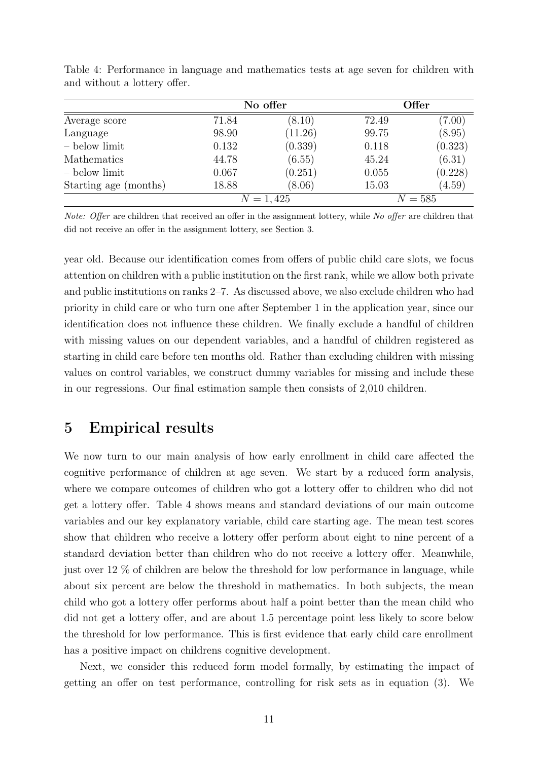|                       |       | No offer    |       | Offer   |  |  |
|-----------------------|-------|-------------|-------|---------|--|--|
| Average score         | 71.84 | (8.10)      | 72.49 | (7.00)  |  |  |
| Language              | 98.90 | (11.26)     | 99.75 | (8.95)  |  |  |
| $-$ below limit       | 0.132 | (0.339)     | 0.118 | (0.323) |  |  |
| Mathematics           | 44.78 | (6.55)      | 45.24 | (6.31)  |  |  |
| - below limit         | 0.067 | (0.251)     | 0.055 | (0.228) |  |  |
| Starting age (months) | 18.88 | (8.06)      | 15.03 | (4.59)  |  |  |
|                       |       | $N = 1,425$ |       | $N=585$ |  |  |

Table 4: Performance in language and mathematics tests at age seven for children with and without a lottery offer.

Note: Offer are children that received an offer in the assignment lottery, while No offer are children that did not receive an offer in the assignment lottery, see Section 3.

year old. Because our identification comes from offers of public child care slots, we focus attention on children with a public institution on the first rank, while we allow both private and public institutions on ranks 2–7. As discussed above, we also exclude children who had priority in child care or who turn one after September 1 in the application year, since our identification does not influence these children. We finally exclude a handful of children with missing values on our dependent variables, and a handful of children registered as starting in child care before ten months old. Rather than excluding children with missing values on control variables, we construct dummy variables for missing and include these in our regressions. Our final estimation sample then consists of 2,010 children.

### 5 Empirical results

We now turn to our main analysis of how early enrollment in child care affected the cognitive performance of children at age seven. We start by a reduced form analysis, where we compare outcomes of children who got a lottery offer to children who did not get a lottery offer. Table 4 shows means and standard deviations of our main outcome variables and our key explanatory variable, child care starting age. The mean test scores show that children who receive a lottery offer perform about eight to nine percent of a standard deviation better than children who do not receive a lottery offer. Meanwhile, just over 12 % of children are below the threshold for low performance in language, while about six percent are below the threshold in mathematics. In both subjects, the mean child who got a lottery offer performs about half a point better than the mean child who did not get a lottery offer, and are about 1.5 percentage point less likely to score below the threshold for low performance. This is first evidence that early child care enrollment has a positive impact on childrens cognitive development.

Next, we consider this reduced form model formally, by estimating the impact of getting an offer on test performance, controlling for risk sets as in equation (3). We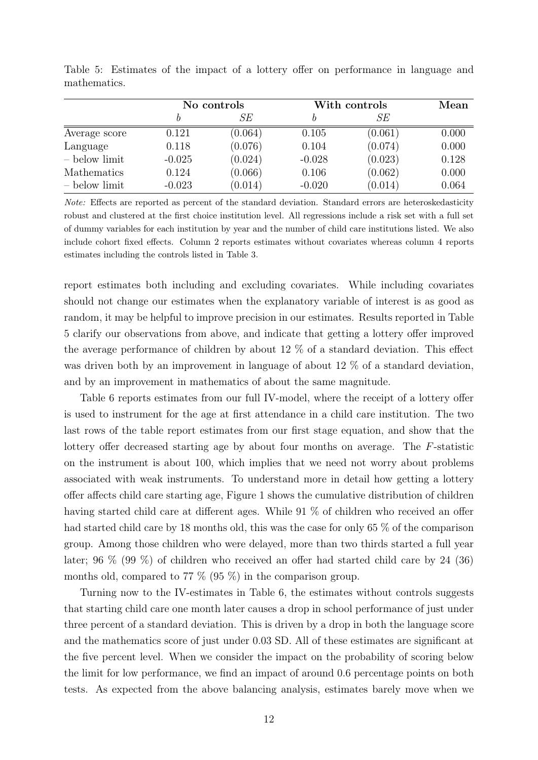|                 | No controls |         | With controls | Mean    |       |
|-----------------|-------------|---------|---------------|---------|-------|
|                 |             | SЕ      |               | SЕ      |       |
| Average score   | 0.121       | (0.064) | 0.105         | (0.061) | 0.000 |
| Language        | 0.118       | (0.076) | 0.104         | (0.074) | 0.000 |
| $-$ below limit | $-0.025$    | (0.024) | $-0.028$      | (0.023) | 0.128 |
| Mathematics     | 0.124       | (0.066) | 0.106         | (0.062) | 0.000 |
| $-$ below limit | $-0.023$    | (0.014) | $-0.020$      | (0.014) | 0.064 |

Table 5: Estimates of the impact of a lottery offer on performance in language and mathematics.

Note: Effects are reported as percent of the standard deviation. Standard errors are heteroskedasticity robust and clustered at the first choice institution level. All regressions include a risk set with a full set of dummy variables for each institution by year and the number of child care institutions listed. We also include cohort fixed effects. Column 2 reports estimates without covariates whereas column 4 reports estimates including the controls listed in Table 3.

report estimates both including and excluding covariates. While including covariates should not change our estimates when the explanatory variable of interest is as good as random, it may be helpful to improve precision in our estimates. Results reported in Table 5 clarify our observations from above, and indicate that getting a lottery offer improved the average performance of children by about 12 % of a standard deviation. This effect was driven both by an improvement in language of about 12 % of a standard deviation, and by an improvement in mathematics of about the same magnitude.

Table 6 reports estimates from our full IV-model, where the receipt of a lottery offer is used to instrument for the age at first attendance in a child care institution. The two last rows of the table report estimates from our first stage equation, and show that the lottery offer decreased starting age by about four months on average. The F-statistic on the instrument is about 100, which implies that we need not worry about problems associated with weak instruments. To understand more in detail how getting a lottery offer affects child care starting age, Figure 1 shows the cumulative distribution of children having started child care at different ages. While 91 % of children who received an offer had started child care by 18 months old, this was the case for only 65 % of the comparison group. Among those children who were delayed, more than two thirds started a full year later; 96 % (99 %) of children who received an offer had started child care by 24 (36) months old, compared to 77 % (95 %) in the comparison group.

Turning now to the IV-estimates in Table 6, the estimates without controls suggests that starting child care one month later causes a drop in school performance of just under three percent of a standard deviation. This is driven by a drop in both the language score and the mathematics score of just under 0.03 SD. All of these estimates are significant at the five percent level. When we consider the impact on the probability of scoring below the limit for low performance, we find an impact of around 0.6 percentage points on both tests. As expected from the above balancing analysis, estimates barely move when we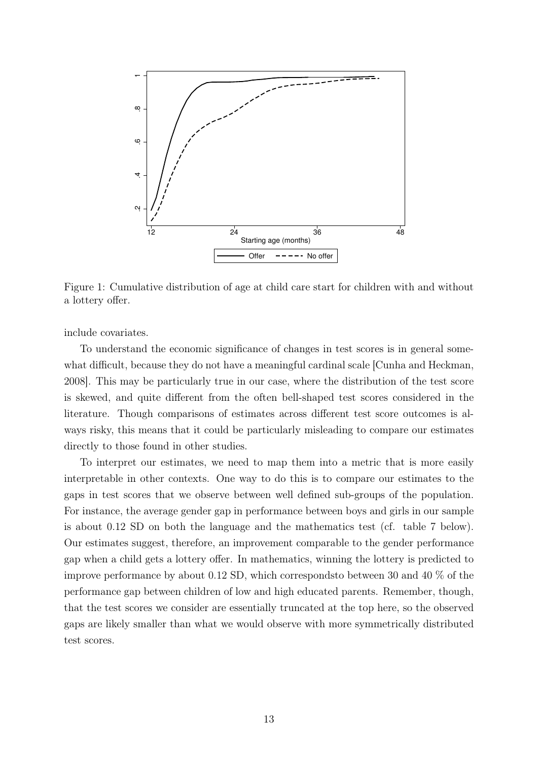

Figure 1: Cumulative distribution of age at child care start for children with and without a lottery offer.

include covariates.

To understand the economic significance of changes in test scores is in general somewhat difficult, because they do not have a meaningful cardinal scale [Cunha and Heckman, 2008]. This may be particularly true in our case, where the distribution of the test score is skewed, and quite different from the often bell-shaped test scores considered in the literature. Though comparisons of estimates across different test score outcomes is always risky, this means that it could be particularly misleading to compare our estimates directly to those found in other studies.

To interpret our estimates, we need to map them into a metric that is more easily interpretable in other contexts. One way to do this is to compare our estimates to the gaps in test scores that we observe between well defined sub-groups of the population. For instance, the average gender gap in performance between boys and girls in our sample is about 0.12 SD on both the language and the mathematics test (cf. table 7 below). Our estimates suggest, therefore, an improvement comparable to the gender performance gap when a child gets a lottery offer. In mathematics, winning the lottery is predicted to improve performance by about 0.12 SD, which correspondsto between 30 and 40 % of the performance gap between children of low and high educated parents. Remember, though, that the test scores we consider are essentially truncated at the top here, so the observed gaps are likely smaller than what we would observe with more symmetrically distributed test scores.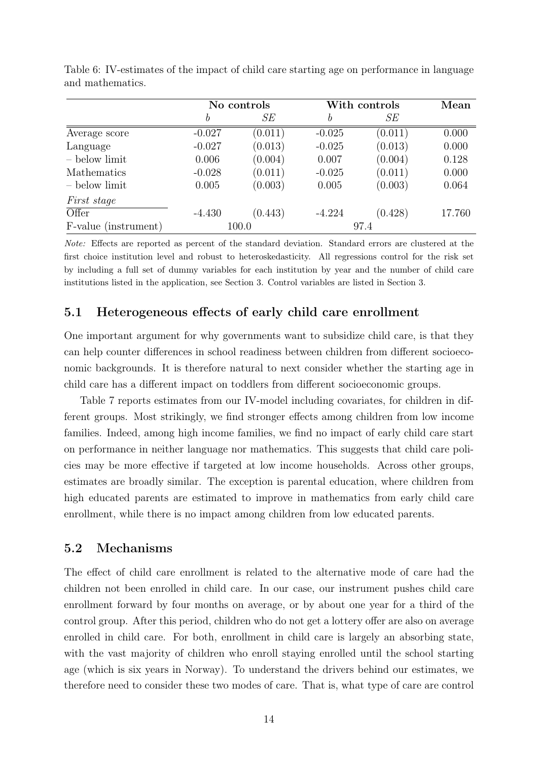|                      | No controls |         |          | With controls |        |
|----------------------|-------------|---------|----------|---------------|--------|
|                      | b           | SЕ      | b        | SЕ            |        |
| Average score        | $-0.027$    | (0.011) | $-0.025$ | (0.011)       | 0.000  |
| Language             | $-0.027$    | (0.013) | $-0.025$ | (0.013)       | 0.000  |
| - below limit        | 0.006       | (0.004) | 0.007    | (0.004)       | 0.128  |
| <b>Mathematics</b>   | $-0.028$    | (0.011) | $-0.025$ | (0.011)       | 0.000  |
| - below limit        | 0.005       | (0.003) | 0.005    | (0.003)       | 0.064  |
| <i>First stage</i>   |             |         |          |               |        |
| Offer                | $-4.430$    | (0.443) | $-4.224$ | (0.428)       | 17.760 |
| F-value (instrument) |             | 100.0   |          | 97.4          |        |

Table 6: IV-estimates of the impact of child care starting age on performance in language and mathematics.

Note: Effects are reported as percent of the standard deviation. Standard errors are clustered at the first choice institution level and robust to heteroskedasticity. All regressions control for the risk set by including a full set of dummy variables for each institution by year and the number of child care institutions listed in the application, see Section 3. Control variables are listed in Section 3.

#### 5.1 Heterogeneous effects of early child care enrollment

One important argument for why governments want to subsidize child care, is that they can help counter differences in school readiness between children from different socioeconomic backgrounds. It is therefore natural to next consider whether the starting age in child care has a different impact on toddlers from different socioeconomic groups.

Table 7 reports estimates from our IV-model including covariates, for children in different groups. Most strikingly, we find stronger effects among children from low income families. Indeed, among high income families, we find no impact of early child care start on performance in neither language nor mathematics. This suggests that child care policies may be more effective if targeted at low income households. Across other groups, estimates are broadly similar. The exception is parental education, where children from high educated parents are estimated to improve in mathematics from early child care enrollment, while there is no impact among children from low educated parents.

#### 5.2 Mechanisms

The effect of child care enrollment is related to the alternative mode of care had the children not been enrolled in child care. In our case, our instrument pushes child care enrollment forward by four months on average, or by about one year for a third of the control group. After this period, children who do not get a lottery offer are also on average enrolled in child care. For both, enrollment in child care is largely an absorbing state, with the vast majority of children who enroll staying enrolled until the school starting age (which is six years in Norway). To understand the drivers behind our estimates, we therefore need to consider these two modes of care. That is, what type of care are control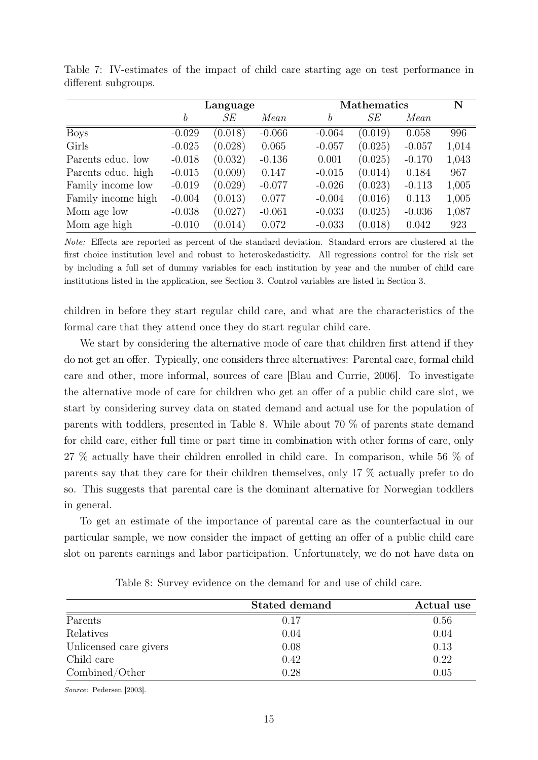|                    | Language |         |          |          | <b>Mathematics</b> |          |       |  |
|--------------------|----------|---------|----------|----------|--------------------|----------|-------|--|
|                    | b        | SЕ      | Mean     | b        | SЕ                 | Mean     |       |  |
| <b>Boys</b>        | $-0.029$ | (0.018) | $-0.066$ | $-0.064$ | (0.019)            | 0.058    | 996   |  |
| Girls              | $-0.025$ | (0.028) | 0.065    | $-0.057$ | (0.025)            | $-0.057$ | 1,014 |  |
| Parents educ. low  | $-0.018$ | (0.032) | $-0.136$ | 0.001    | (0.025)            | $-0.170$ | 1,043 |  |
| Parents educ. high | $-0.015$ | (0.009) | 0.147    | $-0.015$ | (0.014)            | 0.184    | 967   |  |
| Family income low  | $-0.019$ | (0.029) | $-0.077$ | $-0.026$ | (0.023)            | $-0.113$ | 1,005 |  |
| Family income high | $-0.004$ | (0.013) | 0.077    | $-0.004$ | (0.016)            | 0.113    | 1,005 |  |
| Mom age low        | $-0.038$ | (0.027) | $-0.061$ | $-0.033$ | (0.025)            | $-0.036$ | 1,087 |  |
| Mom age high       | $-0.010$ | (0.014) | 0.072    | $-0.033$ | (0.018)            | 0.042    | 923   |  |

Table 7: IV-estimates of the impact of child care starting age on test performance in different subgroups.

Note: Effects are reported as percent of the standard deviation. Standard errors are clustered at the first choice institution level and robust to heteroskedasticity. All regressions control for the risk set by including a full set of dummy variables for each institution by year and the number of child care institutions listed in the application, see Section 3. Control variables are listed in Section 3.

children in before they start regular child care, and what are the characteristics of the formal care that they attend once they do start regular child care.

We start by considering the alternative mode of care that children first attend if they do not get an offer. Typically, one considers three alternatives: Parental care, formal child care and other, more informal, sources of care [Blau and Currie, 2006]. To investigate the alternative mode of care for children who get an offer of a public child care slot, we start by considering survey data on stated demand and actual use for the population of parents with toddlers, presented in Table 8. While about 70 % of parents state demand for child care, either full time or part time in combination with other forms of care, only 27 % actually have their children enrolled in child care. In comparison, while 56 % of parents say that they care for their children themselves, only 17 % actually prefer to do so. This suggests that parental care is the dominant alternative for Norwegian toddlers in general.

To get an estimate of the importance of parental care as the counterfactual in our particular sample, we now consider the impact of getting an offer of a public child care slot on parents earnings and labor participation. Unfortunately, we do not have data on

|                        | <b>Stated demand</b> | Actual use |
|------------------------|----------------------|------------|
| Parents                | 0.17                 | 0.56       |
| Relatives              | 0.04                 | 0.04       |
| Unlicensed care givers | 0.08                 | 0.13       |
| Child care             | 0.42                 | 0.22       |
| Combined/Other         | 0.28                 | 0.05       |

Table 8: Survey evidence on the demand for and use of child care.

Source: Pedersen [2003].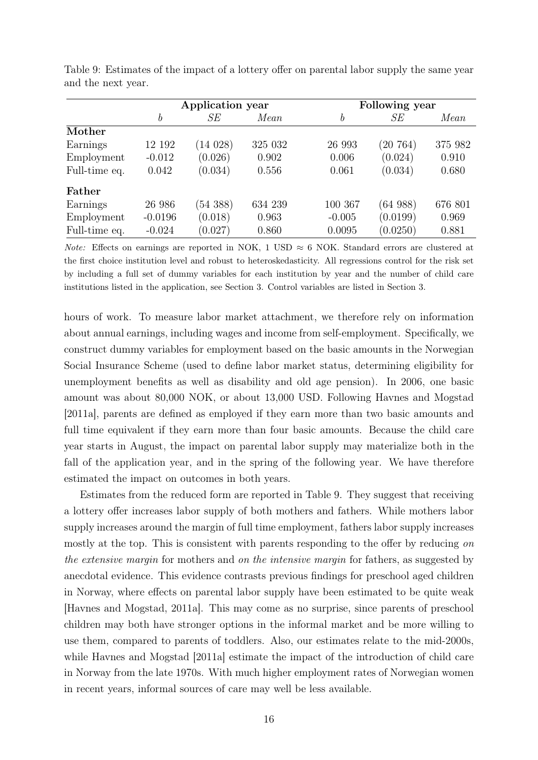|               | Application year |         |         |                  | Following year |         |
|---------------|------------------|---------|---------|------------------|----------------|---------|
|               | $\boldsymbol{b}$ | SE      | Mean    | $\boldsymbol{b}$ | SE             | Mean    |
| Mother        |                  |         |         |                  |                |         |
| Earnings      | 12 192           | (14028) | 325 032 | 26 993           | (20 764)       | 375 982 |
| Employment    | $-0.012$         | (0.026) | 0.902   | 0.006            | (0.024)        | 0.910   |
| Full-time eq. | 0.042            | (0.034) | 0.556   | 0.061            | (0.034)        | 0.680   |
| Father        |                  |         |         |                  |                |         |
| Earnings      | 26 986           | (54388) | 634 239 | 100 367          | (64988)        | 676 801 |
| Employment    | $-0.0196$        | (0.018) | 0.963   | $-0.005$         | (0.0199)       | 0.969   |
| Full-time eq. | $-0.024$         | (0.027) | 0.860   | 0.0095           | (0.0250)       | 0.881   |

Table 9: Estimates of the impact of a lottery offer on parental labor supply the same year and the next year.

*Note:* Effects on earnings are reported in NOK, 1 USD  $\approx 6$  NOK. Standard errors are clustered at the first choice institution level and robust to heteroskedasticity. All regressions control for the risk set by including a full set of dummy variables for each institution by year and the number of child care institutions listed in the application, see Section 3. Control variables are listed in Section 3.

hours of work. To measure labor market attachment, we therefore rely on information about annual earnings, including wages and income from self-employment. Specifically, we construct dummy variables for employment based on the basic amounts in the Norwegian Social Insurance Scheme (used to define labor market status, determining eligibility for unemployment benefits as well as disability and old age pension). In 2006, one basic amount was about 80,000 NOK, or about 13,000 USD. Following Havnes and Mogstad [2011a], parents are defined as employed if they earn more than two basic amounts and full time equivalent if they earn more than four basic amounts. Because the child care year starts in August, the impact on parental labor supply may materialize both in the fall of the application year, and in the spring of the following year. We have therefore estimated the impact on outcomes in both years.

Estimates from the reduced form are reported in Table 9. They suggest that receiving a lottery offer increases labor supply of both mothers and fathers. While mothers labor supply increases around the margin of full time employment, fathers labor supply increases mostly at the top. This is consistent with parents responding to the offer by reducing on the extensive margin for mothers and on the intensive margin for fathers, as suggested by anecdotal evidence. This evidence contrasts previous findings for preschool aged children in Norway, where effects on parental labor supply have been estimated to be quite weak [Havnes and Mogstad, 2011a]. This may come as no surprise, since parents of preschool children may both have stronger options in the informal market and be more willing to use them, compared to parents of toddlers. Also, our estimates relate to the mid-2000s, while Havnes and Mogstad [2011a] estimate the impact of the introduction of child care in Norway from the late 1970s. With much higher employment rates of Norwegian women in recent years, informal sources of care may well be less available.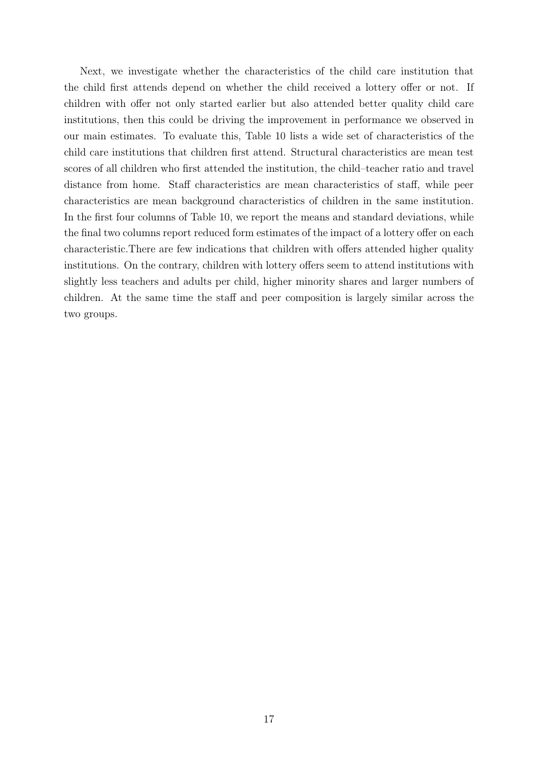Next, we investigate whether the characteristics of the child care institution that the child first attends depend on whether the child received a lottery offer or not. If children with offer not only started earlier but also attended better quality child care institutions, then this could be driving the improvement in performance we observed in our main estimates. To evaluate this, Table 10 lists a wide set of characteristics of the child care institutions that children first attend. Structural characteristics are mean test scores of all children who first attended the institution, the child–teacher ratio and travel distance from home. Staff characteristics are mean characteristics of staff, while peer characteristics are mean background characteristics of children in the same institution. In the first four columns of Table 10, we report the means and standard deviations, while the final two columns report reduced form estimates of the impact of a lottery offer on each characteristic.There are few indications that children with offers attended higher quality institutions. On the contrary, children with lottery offers seem to attend institutions with slightly less teachers and adults per child, higher minority shares and larger numbers of children. At the same time the staff and peer composition is largely similar across the two groups.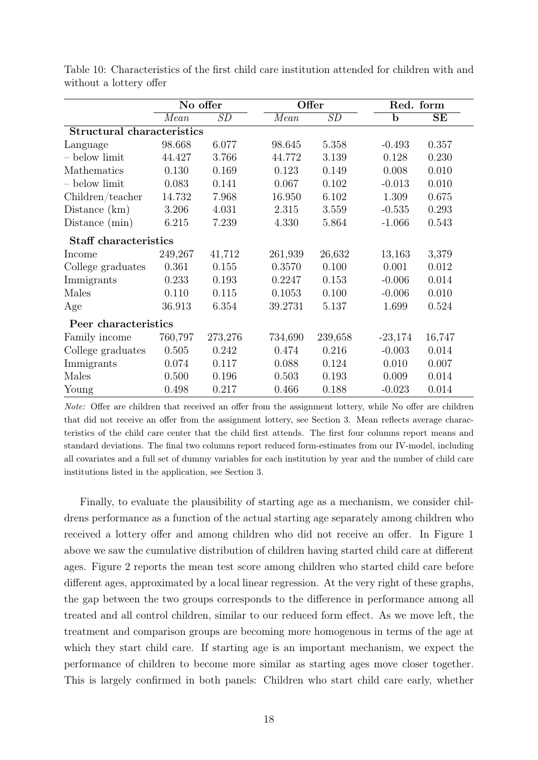|                                   |         | No offer |         | Offer   |             | Red. form |
|-----------------------------------|---------|----------|---------|---------|-------------|-----------|
|                                   | Mean    | SD       | Mean    | SD      | $\mathbf b$ | $\rm SE$  |
| <b>Structural characteristics</b> |         |          |         |         |             |           |
| Language                          | 98.668  | 6.077    | 98.645  | 5.358   | $-0.493$    | 0.357     |
| $-$ below limit                   | 44.427  | 3.766    | 44.772  | 3.139   | 0.128       | 0.230     |
| Mathematics                       | 0.130   | 0.169    | 0.123   | 0.149   | 0.008       | 0.010     |
| - below limit                     | 0.083   | 0.141    | 0.067   | 0.102   | $-0.013$    | 0.010     |
| Children/teacher                  | 14.732  | 7.968    | 16.950  | 6.102   | 1.309       | 0.675     |
| Distance $(km)$                   | 3.206   | 4.031    | 2.315   | 3.559   | $-0.535$    | 0.293     |
| Distance (min)                    | 6.215   | 7.239    | 4.330   | 5.864   | $-1.066$    | 0.543     |
| <b>Staff characteristics</b>      |         |          |         |         |             |           |
| Income                            | 249,267 | 41,712   | 261,939 | 26,632  | 13,163      | 3,379     |
| College graduates                 | 0.361   | 0.155    | 0.3570  | 0.100   | 0.001       | 0.012     |
| Immigrants                        | 0.233   | 0.193    | 0.2247  | 0.153   | $-0.006$    | 0.014     |
| Males                             | 0.110   | 0.115    | 0.1053  | 0.100   | $-0.006$    | 0.010     |
| Age                               | 36.913  | 6.354    | 39.2731 | 5.137   | 1.699       | 0.524     |
| Peer characteristics              |         |          |         |         |             |           |
| Family income                     | 760,797 | 273,276  | 734,690 | 239,658 | $-23,174$   | 16,747    |
| College graduates                 | 0.505   | 0.242    | 0.474   | 0.216   | $-0.003$    | 0.014     |
| Immigrants                        | 0.074   | 0.117    | 0.088   | 0.124   | 0.010       | 0.007     |
| Males                             | 0.500   | 0.196    | 0.503   | 0.193   | 0.009       | 0.014     |
| Young                             | 0.498   | 0.217    | 0.466   | 0.188   | $-0.023$    | 0.014     |

Table 10: Characteristics of the first child care institution attended for children with and without a lottery offer

Note: Offer are children that received an offer from the assignment lottery, while No offer are children that did not receive an offer from the assignment lottery, see Section 3. Mean reflects average characteristics of the child care center that the child first attends. The first four columns report means and standard deviations. The final two columns report reduced form-estimates from our IV-model, including all covariates and a full set of dummy variables for each institution by year and the number of child care institutions listed in the application, see Section 3.

Finally, to evaluate the plausibility of starting age as a mechanism, we consider childrens performance as a function of the actual starting age separately among children who received a lottery offer and among children who did not receive an offer. In Figure 1 above we saw the cumulative distribution of children having started child care at different ages. Figure 2 reports the mean test score among children who started child care before different ages, approximated by a local linear regression. At the very right of these graphs, the gap between the two groups corresponds to the difference in performance among all treated and all control children, similar to our reduced form effect. As we move left, the treatment and comparison groups are becoming more homogenous in terms of the age at which they start child care. If starting age is an important mechanism, we expect the performance of children to become more similar as starting ages move closer together. This is largely confirmed in both panels: Children who start child care early, whether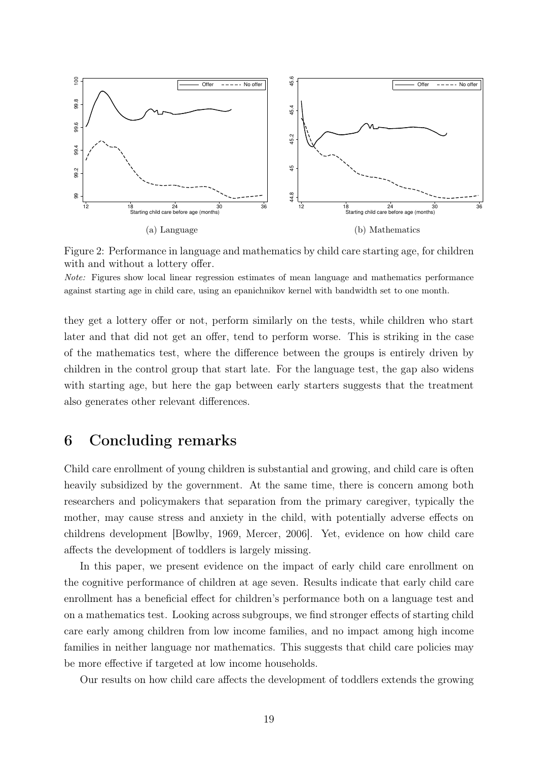

Figure 2: Performance in language and mathematics by child care starting age, for children with and without a lottery offer.

Note: Figures show local linear regression estimates of mean language and mathematics performance against starting age in child care, using an epanichnikov kernel with bandwidth set to one month.

they get a lottery offer or not, perform similarly on the tests, while children who start later and that did not get an offer, tend to perform worse. This is striking in the case of the mathematics test, where the difference between the groups is entirely driven by children in the control group that start late. For the language test, the gap also widens with starting age, but here the gap between early starters suggests that the treatment also generates other relevant differences.

# 6 Concluding remarks

Child care enrollment of young children is substantial and growing, and child care is often heavily subsidized by the government. At the same time, there is concern among both researchers and policymakers that separation from the primary caregiver, typically the mother, may cause stress and anxiety in the child, with potentially adverse effects on childrens development [Bowlby, 1969, Mercer, 2006]. Yet, evidence on how child care affects the development of toddlers is largely missing.

In this paper, we present evidence on the impact of early child care enrollment on the cognitive performance of children at age seven. Results indicate that early child care enrollment has a beneficial effect for children's performance both on a language test and on a mathematics test. Looking across subgroups, we find stronger effects of starting child care early among children from low income families, and no impact among high income families in neither language nor mathematics. This suggests that child care policies may be more effective if targeted at low income households.

Our results on how child care affects the development of toddlers extends the growing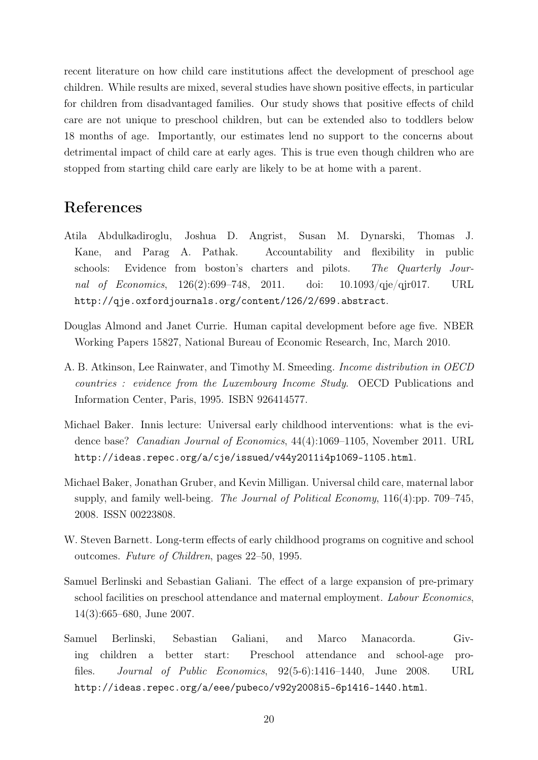recent literature on how child care institutions affect the development of preschool age children. While results are mixed, several studies have shown positive effects, in particular for children from disadvantaged families. Our study shows that positive effects of child care are not unique to preschool children, but can be extended also to toddlers below 18 months of age. Importantly, our estimates lend no support to the concerns about detrimental impact of child care at early ages. This is true even though children who are stopped from starting child care early are likely to be at home with a parent.

## References

- Atila Abdulkadiroglu, Joshua D. Angrist, Susan M. Dynarski, Thomas J. Kane, and Parag A. Pathak. Accountability and flexibility in public schools: Evidence from boston's charters and pilots. The Quarterly Journal of Economics, 126(2):699–748, 2011. doi: 10.1093/qje/qjr017. URL http://qje.oxfordjournals.org/content/126/2/699.abstract.
- Douglas Almond and Janet Currie. Human capital development before age five. NBER Working Papers 15827, National Bureau of Economic Research, Inc, March 2010.
- A. B. Atkinson, Lee Rainwater, and Timothy M. Smeeding. Income distribution in OECD countries : evidence from the Luxembourg Income Study. OECD Publications and Information Center, Paris, 1995. ISBN 926414577.
- Michael Baker. Innis lecture: Universal early childhood interventions: what is the evidence base? Canadian Journal of Economics, 44(4):1069–1105, November 2011. URL http://ideas.repec.org/a/cje/issued/v44y2011i4p1069-1105.html.
- Michael Baker, Jonathan Gruber, and Kevin Milligan. Universal child care, maternal labor supply, and family well-being. The Journal of Political Economy, 116(4):pp. 709–745, 2008. ISSN 00223808.
- W. Steven Barnett. Long-term effects of early childhood programs on cognitive and school outcomes. Future of Children, pages 22–50, 1995.
- Samuel Berlinski and Sebastian Galiani. The effect of a large expansion of pre-primary school facilities on preschool attendance and maternal employment. Labour Economics, 14(3):665–680, June 2007.
- Samuel Berlinski, Sebastian Galiani, and Marco Manacorda. Giving children a better start: Preschool attendance and school-age profiles. Journal of Public Economics, 92(5-6):1416–1440, June 2008. URL http://ideas.repec.org/a/eee/pubeco/v92y2008i5-6p1416-1440.html.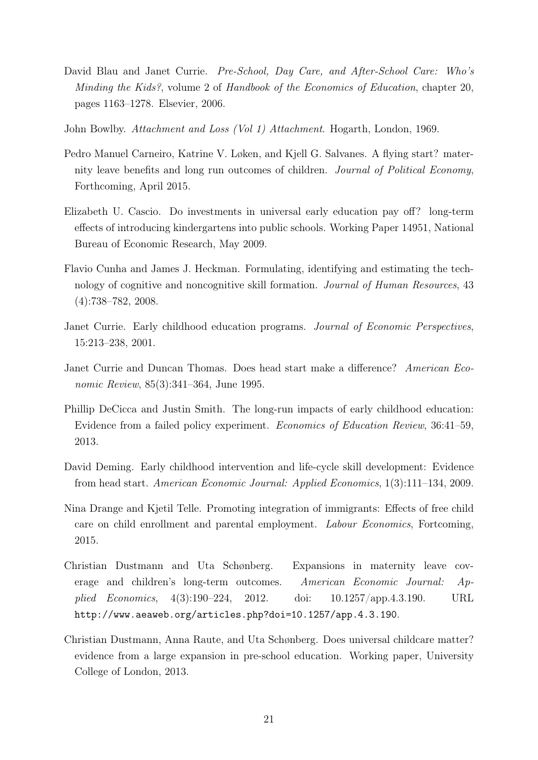- David Blau and Janet Currie. *Pre-School, Day Care, and After-School Care: Who's* Minding the Kids?, volume 2 of Handbook of the Economics of Education, chapter 20, pages 1163–1278. Elsevier, 2006.
- John Bowlby. Attachment and Loss (Vol 1) Attachment. Hogarth, London, 1969.
- Pedro Manuel Carneiro, Katrine V. Løken, and Kjell G. Salvanes. A flying start? maternity leave benefits and long run outcomes of children. Journal of Political Economy, Forthcoming, April 2015.
- Elizabeth U. Cascio. Do investments in universal early education pay off? long-term effects of introducing kindergartens into public schools. Working Paper 14951, National Bureau of Economic Research, May 2009.
- Flavio Cunha and James J. Heckman. Formulating, identifying and estimating the technology of cognitive and noncognitive skill formation. Journal of Human Resources, 43 (4):738–782, 2008.
- Janet Currie. Early childhood education programs. Journal of Economic Perspectives, 15:213–238, 2001.
- Janet Currie and Duncan Thomas. Does head start make a difference? American Economic Review, 85(3):341–364, June 1995.
- Phillip DeCicca and Justin Smith. The long-run impacts of early childhood education: Evidence from a failed policy experiment. Economics of Education Review, 36:41–59, 2013.
- David Deming. Early childhood intervention and life-cycle skill development: Evidence from head start. American Economic Journal: Applied Economics, 1(3):111–134, 2009.
- Nina Drange and Kjetil Telle. Promoting integration of immigrants: Effects of free child care on child enrollment and parental employment. Labour Economics, Fortcoming, 2015.
- Christian Dustmann and Uta Schønberg. Expansions in maternity leave coverage and children's long-term outcomes. American Economic Journal: Applied Economics, 4(3):190–224, 2012. doi: 10.1257/app.4.3.190. URL http://www.aeaweb.org/articles.php?doi=10.1257/app.4.3.190.
- Christian Dustmann, Anna Raute, and Uta Schønberg. Does universal childcare matter? evidence from a large expansion in pre-school education. Working paper, University College of London, 2013.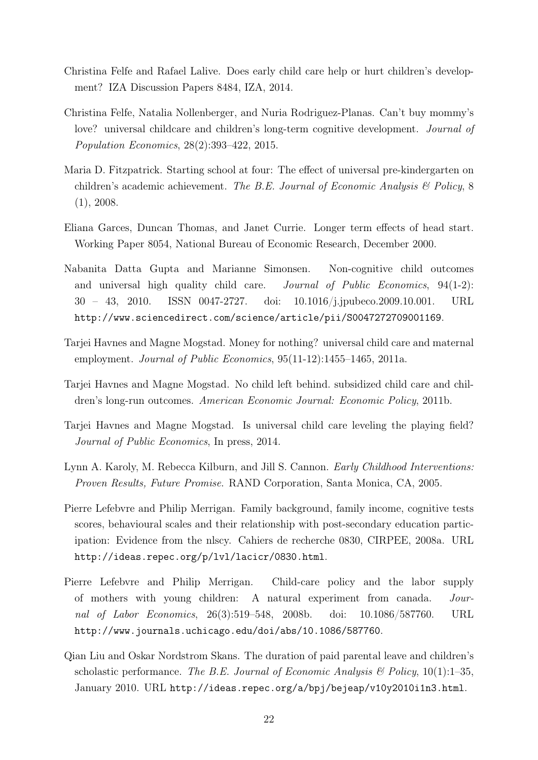- Christina Felfe and Rafael Lalive. Does early child care help or hurt children's development? IZA Discussion Papers 8484, IZA, 2014.
- Christina Felfe, Natalia Nollenberger, and Nuria Rodriguez-Planas. Can't buy mommy's love? universal childcare and children's long-term cognitive development. *Journal of* Population Economics, 28(2):393–422, 2015.
- Maria D. Fitzpatrick. Starting school at four: The effect of universal pre-kindergarten on children's academic achievement. The B.E. Journal of Economic Analysis  $\mathcal{B}'$  Policy, 8  $(1), 2008.$
- Eliana Garces, Duncan Thomas, and Janet Currie. Longer term effects of head start. Working Paper 8054, National Bureau of Economic Research, December 2000.
- Nabanita Datta Gupta and Marianne Simonsen. Non-cognitive child outcomes and universal high quality child care. *Journal of Public Economics*, 94(1-2): 30 – 43, 2010. ISSN 0047-2727. doi: 10.1016/j.jpubeco.2009.10.001. URL http://www.sciencedirect.com/science/article/pii/S0047272709001169.
- Tarjei Havnes and Magne Mogstad. Money for nothing? universal child care and maternal employment. *Journal of Public Economics*, 95(11-12):1455–1465, 2011a.
- Tarjei Havnes and Magne Mogstad. No child left behind. subsidized child care and children's long-run outcomes. American Economic Journal: Economic Policy, 2011b.
- Tarjei Havnes and Magne Mogstad. Is universal child care leveling the playing field? Journal of Public Economics, In press, 2014.
- Lynn A. Karoly, M. Rebecca Kilburn, and Jill S. Cannon. Early Childhood Interventions: Proven Results, Future Promise. RAND Corporation, Santa Monica, CA, 2005.
- Pierre Lefebvre and Philip Merrigan. Family background, family income, cognitive tests scores, behavioural scales and their relationship with post-secondary education participation: Evidence from the nlscy. Cahiers de recherche 0830, CIRPEE, 2008a. URL http://ideas.repec.org/p/lvl/lacicr/0830.html.
- Pierre Lefebvre and Philip Merrigan. Child-care policy and the labor supply of mothers with young children: A natural experiment from canada. Journal of Labor Economics, 26(3):519–548, 2008b. doi: 10.1086/587760. URL http://www.journals.uchicago.edu/doi/abs/10.1086/587760.
- Qian Liu and Oskar Nordstrom Skans. The duration of paid parental leave and children's scholastic performance. The B.E. Journal of Economic Analysis & Policy,  $10(1):1-35$ , January 2010. URL http://ideas.repec.org/a/bpj/bejeap/v10y2010i1n3.html.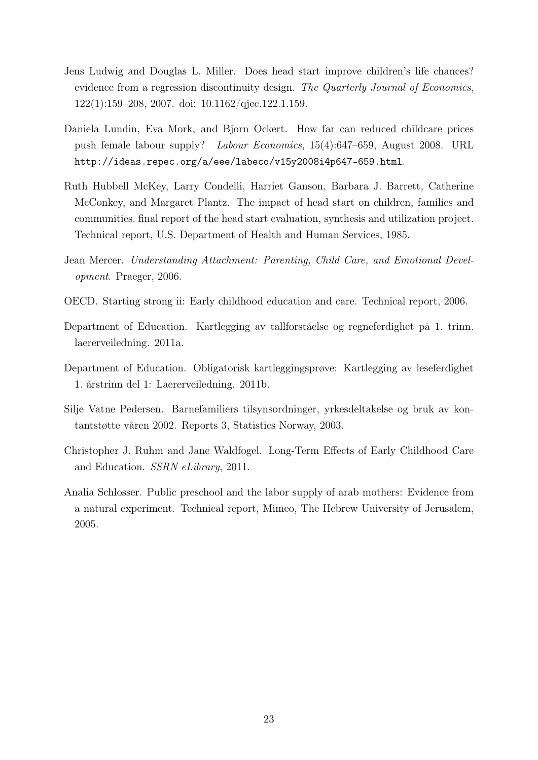- Jens Ludwig and Douglas L. Miller. Does head start improve children's life chances? evidence from a regression discontinuity design. The Quarterly Journal of Economics, 122(1):159–208, 2007. doi: 10.1162/qjec.122.1.159.
- Daniela Lundin, Eva Mork, and Bjorn Ockert. How far can reduced childcare prices push female labour supply? Labour Economics, 15(4):647–659, August 2008. URL http://ideas.repec.org/a/eee/labeco/v15y2008i4p647-659.html.
- Ruth Hubbell McKey, Larry Condelli, Harriet Ganson, Barbara J. Barrett, Catherine McConkey, and Margaret Plantz. The impact of head start on children, families and communities. final report of the head start evaluation, synthesis and utilization project. Technical report, U.S. Department of Health and Human Services, 1985.
- Jean Mercer. Understanding Attachment: Parenting, Child Care, and Emotional Development. Praeger, 2006.
- OECD. Starting strong ii: Early childhood education and care. Technical report, 2006.
- Department of Education. Kartlegging av tallforståelse og regneferdighet på 1. trinn. laererveiledning. 2011a.
- Department of Education. Obligatorisk kartleggingsprøve: Kartlegging av leseferdighet 1. årstrinn del 1: Laererveiledning. 2011b.
- Silje Vatne Pedersen. Barnefamiliers tilsynsordninger, yrkesdeltakelse og bruk av kontantstøtte våren 2002. Reports 3, Statistics Norway, 2003.
- Christopher J. Ruhm and Jane Waldfogel. Long-Term Effects of Early Childhood Care and Education. SSRN eLibrary, 2011.
- Analia Schlosser. Public preschool and the labor supply of arab mothers: Evidence from a natural experiment. Technical report, Mimeo, The Hebrew University of Jerusalem, 2005.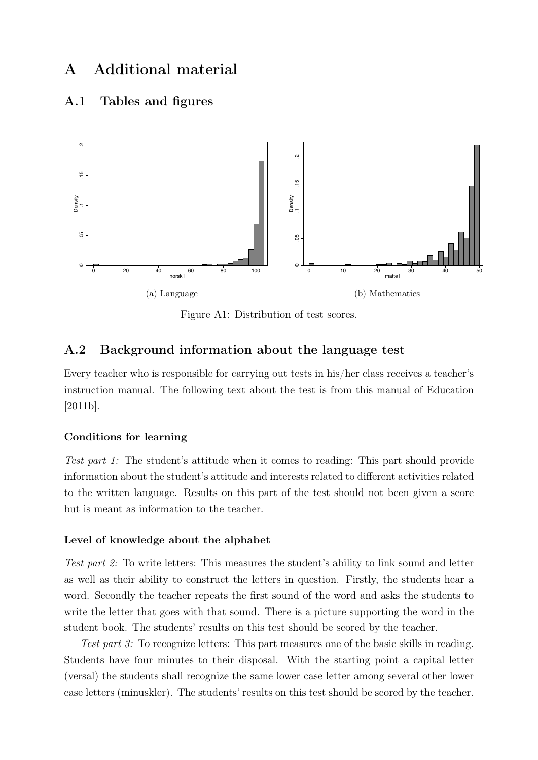# A Additional material

#### A.1 Tables and figures



Figure A1: Distribution of test scores.

### A.2 Background information about the language test

Every teacher who is responsible for carrying out tests in his/her class receives a teacher's instruction manual. The following text about the test is from this manual of Education [2011b].

#### Conditions for learning

Test part 1: The student's attitude when it comes to reading: This part should provide information about the student's attitude and interests related to different activities related to the written language. Results on this part of the test should not been given a score but is meant as information to the teacher.

#### Level of knowledge about the alphabet

Test part 2: To write letters: This measures the student's ability to link sound and letter as well as their ability to construct the letters in question. Firstly, the students hear a word. Secondly the teacher repeats the first sound of the word and asks the students to write the letter that goes with that sound. There is a picture supporting the word in the student book. The students' results on this test should be scored by the teacher.

Test part 3: To recognize letters: This part measures one of the basic skills in reading. Students have four minutes to their disposal. With the starting point a capital letter (versal) the students shall recognize the same lower case letter among several other lower case letters (minuskler). The students' results on this test should be scored by the teacher.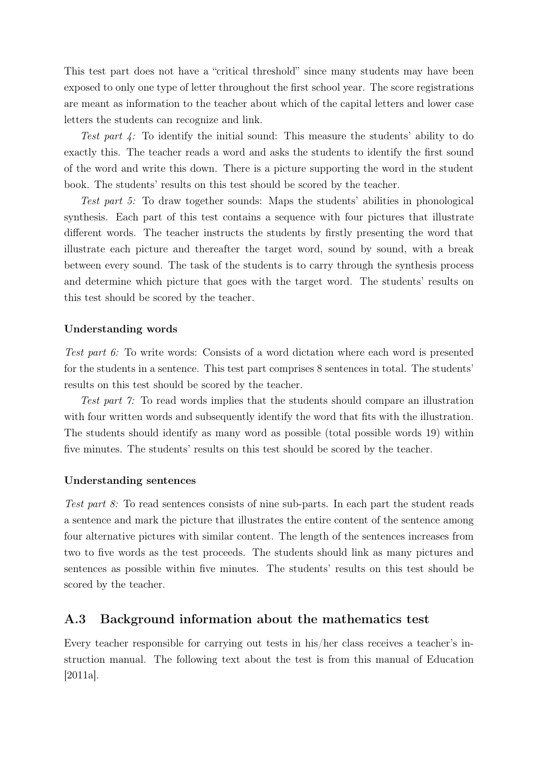This test part does not have a "critical threshold" since many students may have been exposed to only one type of letter throughout the first school year. The score registrations are meant as information to the teacher about which of the capital letters and lower case letters the students can recognize and link.

Test part 4: To identify the initial sound: This measure the students' ability to do exactly this. The teacher reads a word and asks the students to identify the first sound of the word and write this down. There is a picture supporting the word in the student book. The students' results on this test should be scored by the teacher.

Test part 5: To draw together sounds: Maps the students' abilities in phonological synthesis. Each part of this test contains a sequence with four pictures that illustrate different words. The teacher instructs the students by firstly presenting the word that illustrate each picture and thereafter the target word, sound by sound, with a break between every sound. The task of the students is to carry through the synthesis process and determine which picture that goes with the target word. The students' results on this test should be scored by the teacher.

#### Understanding words

Test part 6: To write words: Consists of a word dictation where each word is presented for the students in a sentence. This test part comprises 8 sentences in total. The students' results on this test should be scored by the teacher.

Test part 7: To read words implies that the students should compare an illustration with four written words and subsequently identify the word that fits with the illustration. The students should identify as many word as possible (total possible words 19) within five minutes. The students' results on this test should be scored by the teacher.

#### Understanding sentences

Test part 8: To read sentences consists of nine sub-parts. In each part the student reads a sentence and mark the picture that illustrates the entire content of the sentence among four alternative pictures with similar content. The length of the sentences increases from two to five words as the test proceeds. The students should link as many pictures and sentences as possible within five minutes. The students' results on this test should be scored by the teacher.

#### A.3 Background information about the mathematics test

Every teacher responsible for carrying out tests in his/her class receives a teacher's instruction manual. The following text about the test is from this manual of Education [2011a].